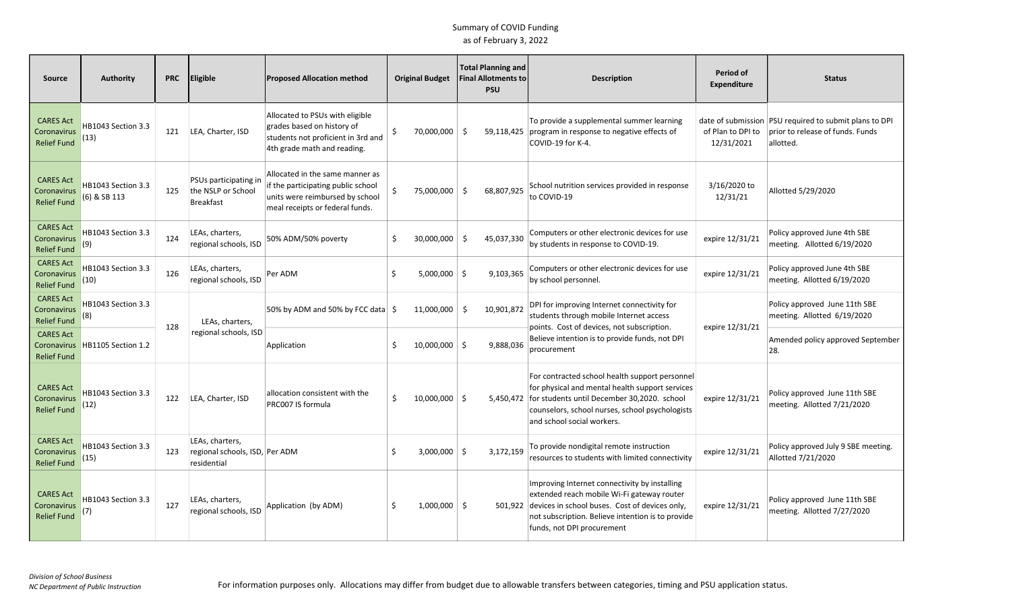| <b>Source</b>                                         | <b>Authority</b>                   | <b>PRC</b> | <b>Eligible</b>                                                  | <b>Proposed Allocation method</b>                                                                                                           |    | <b>Original Budget</b> | <b>Total Planning and</b><br><b>Final Allotments to</b><br><b>PSU</b> | <b>Description</b>                                                                                                                                                                                                                          | Period of<br><b>Expenditure</b> | <b>Status</b>                                                                                           |
|-------------------------------------------------------|------------------------------------|------------|------------------------------------------------------------------|---------------------------------------------------------------------------------------------------------------------------------------------|----|------------------------|-----------------------------------------------------------------------|---------------------------------------------------------------------------------------------------------------------------------------------------------------------------------------------------------------------------------------------|---------------------------------|---------------------------------------------------------------------------------------------------------|
| <b>CARES Act</b><br>Coronavirus<br><b>Relief Fund</b> | HB1043 Section 3.3<br>(13)         | 121        | LEA, Charter, ISD                                                | Allocated to PSUs with eligible<br>grades based on history of<br>students not proficient in 3rd and<br>4th grade math and reading.          | Ŝ. | 70,000,000             | Ŝ.<br>59,118,425                                                      | To provide a supplemental summer learning<br>program in response to negative effects of<br>COVID-19 for K-4.                                                                                                                                | of Plan to DPI to<br>12/31/2021 | date of submission PSU required to submit plans to DPI<br>prior to release of funds. Funds<br>allotted. |
| <b>CARES Act</b><br>Coronavirus<br><b>Relief Fund</b> | HB1043 Section 3.3<br>(6) & SB 113 | 125        | PSUs participating in<br>the NSLP or School<br><b>Breakfast</b>  | Allocated in the same manner as<br>if the participating public school<br>units were reimbursed by school<br>meal receipts or federal funds. |    | 75,000,000 \$          | 68,807,925                                                            | School nutrition services provided in response<br>to COVID-19                                                                                                                                                                               | 3/16/2020 to<br>12/31/21        | Allotted 5/29/2020                                                                                      |
| <b>CARES Act</b><br>Coronavirus<br>Relief Fund        | HB1043 Section 3.3<br>(9)          | 124        | LEAs, charters,<br>regional schools, ISD                         | 50% ADM/50% poverty                                                                                                                         | Ŝ. | 30,000,000             | 45,037,330<br>-Ś                                                      | Computers or other electronic devices for use<br>by students in response to COVID-19.                                                                                                                                                       | expire 12/31/21                 | Policy approved June 4th SBE<br>meeting. Allotted 6/19/2020                                             |
| <b>CARES Act</b><br>Coronavirus<br><b>Relief Fund</b> | HB1043 Section 3.3<br>(10)         | 126        | LEAs, charters,<br>regional schools, ISD                         | Per ADM                                                                                                                                     | Ŝ. | $5,000,000$ \$         | 9.103.365                                                             | Computers or other electronic devices for use<br>by school personnel.                                                                                                                                                                       | expire 12/31/21                 | Policy approved June 4th SBE<br>meeting. Allotted 6/19/2020                                             |
| <b>CARES Act</b><br>Coronavirus<br>Relief Fund        | HB1043 Section 3.3<br>(8)          | 128        | LEAs, charters,                                                  | 50% by ADM and 50% by FCC data $\frac{1}{2}$                                                                                                |    | 11,000,000             | -\$<br>10,901,872                                                     | DPI for improving Internet connectivity for<br>students through mobile Internet access<br>points. Cost of devices, not subscription.                                                                                                        | expire 12/31/21                 | Policy approved June 11th SBE<br>meeting. Allotted 6/19/2020                                            |
| <b>CARES Act</b><br>Coronavirus<br><b>Relief Fund</b> | HB1105 Section 1.2                 |            | regional schools, ISD                                            | Application                                                                                                                                 | .S | $10,000,000$ \$        | 9,888,036                                                             | Believe intention is to provide funds, not DPI<br>procurement                                                                                                                                                                               |                                 | Amended policy approved September<br>28.                                                                |
| <b>CARES Act</b><br>Coronavirus<br><b>Relief Fund</b> | HB1043 Section 3.3<br>(12)         | 122        | LEA, Charter, ISD                                                | allocation consistent with the<br>PRC007 IS formula                                                                                         | Ŝ. | $10,000,000$ \$        |                                                                       | For contracted school health support personnel<br>for physical and mental health support services<br>5,450,472 for students until December 30,2020. school<br>counselors, school nurses, school psychologists<br>and school social workers. | expire 12/31/21                 | Policy approved June 11th SBE<br>meeting. Allotted 7/21/2020                                            |
| <b>CARES Act</b><br>Coronavirus<br><b>Relief Fund</b> | HB1043 Section 3.3<br>(15)         | 123        | LEAs, charters,<br>regional schools, ISD, Per ADM<br>residential |                                                                                                                                             | Ŝ. | $3,000,000$ \$         | 3,172,159                                                             | To provide nondigital remote instruction<br>resources to students with limited connectivity                                                                                                                                                 | expire 12/31/21                 | Policy approved July 9 SBE meeting.<br>Allotted 7/21/2020                                               |
| <b>CARES Act</b><br>Coronavirus<br><b>Relief Fund</b> | HB1043 Section 3.3<br>(7)          | 127        | LEAs, charters,<br>regional schools, ISD                         | Application (by ADM)                                                                                                                        | Ŝ. | $1,000,000$ \$         |                                                                       | Improving Internet connectivity by installing<br>extended reach mobile Wi-Fi gateway router<br>501,922 devices in school buses. Cost of devices only,<br>not subscription. Believe intention is to provide<br>funds, not DPI procurement    | expire 12/31/21                 | Policy approved June 11th SBE<br>meeting. Allotted 7/27/2020                                            |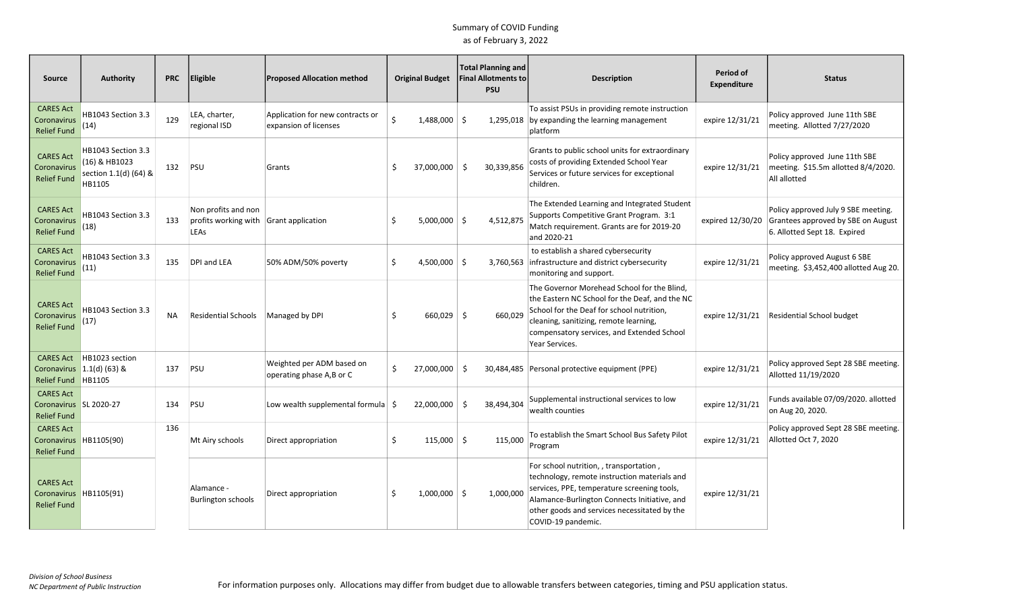| Source                                                             | <b>Authority</b>                                                       | <b>PRC</b> | <b>Eligible</b>                                                       | <b>Proposed Allocation method</b>                         |          | <b>Original Budget</b> | <b>Total Planning and</b><br><b>Final Allotments to</b><br><b>PSU</b> | <b>Description</b>                                                                                                                                                                                                                                           | Period of<br><b>Expenditure</b> | <b>Status</b>                                                                                                              |
|--------------------------------------------------------------------|------------------------------------------------------------------------|------------|-----------------------------------------------------------------------|-----------------------------------------------------------|----------|------------------------|-----------------------------------------------------------------------|--------------------------------------------------------------------------------------------------------------------------------------------------------------------------------------------------------------------------------------------------------------|---------------------------------|----------------------------------------------------------------------------------------------------------------------------|
| <b>CARES Act</b><br>Coronavirus<br><b>Relief Fund</b>              | HB1043 Section 3.3<br>(14)                                             | 129        | LEA, charter,<br>regional ISD                                         | Application for new contracts or<br>expansion of licenses | Ś.       | 1,488,000 \$           | 1,295,018                                                             | To assist PSUs in providing remote instruction<br>by expanding the learning management<br>platform                                                                                                                                                           | expire 12/31/21                 | Policy approved June 11th SBE<br>meeting. Allotted 7/27/2020                                                               |
| <b>CARES Act</b><br>Coronavirus<br><b>Relief Fund</b>              | HB1043 Section 3.3<br>(16) & HB1023<br>section 1.1(d) (64) &<br>HB1105 | 132        | PSU                                                                   | Grants                                                    | -Ś       | 37,000,000 \$          | 30,339,856                                                            | Grants to public school units for extraordinary<br>costs of providing Extended School Year<br>Services or future services for exceptional<br>children.                                                                                                       | expire 12/31/21                 | Policy approved June 11th SBE<br>meeting. \$15.5m allotted 8/4/2020.<br>All allotted                                       |
| <b>CARES Act</b><br>Coronavirus<br><b>Relief Fund</b>              | HB1043 Section 3.3<br>(18)                                             | 133        | Non profits and non<br>profits working with Grant application<br>LEAs |                                                           |          | $5,000,000$ \$         | 4,512,875                                                             | The Extended Learning and Integrated Student<br>Supports Competitive Grant Program. 3:1<br>Match requirement. Grants are for 2019-20<br>and 2020-21                                                                                                          |                                 | Policy approved July 9 SBE meeting.<br>expired 12/30/20 Grantees approved by SBE on August<br>6. Allotted Sept 18. Expired |
| <b>CARES Act</b><br>Coronavirus<br><b>Relief Fund</b>              | HB1043 Section 3.3<br>(11)                                             | 135        | DPI and LEA                                                           | 50% ADM/50% poverty                                       | Ŝ        | $4,500,000$ \$         |                                                                       | to establish a shared cybersecurity<br>3,760,563 infrastructure and district cybersecurity<br>monitoring and support.                                                                                                                                        | expire 12/31/21                 | Policy approved August 6 SBE<br>meeting. \$3,452,400 allotted Aug 20.                                                      |
| <b>CARES Act</b><br>Coronavirus<br><b>Relief Fund</b>              | HB1043 Section 3.3<br>(17)                                             | <b>NA</b>  | Residential Schools                                                   | Managed by DPI                                            | .S       | $660,029$ \$           | 660.029                                                               | The Governor Morehead School for the Blind,<br>the Eastern NC School for the Deaf, and the NC<br>School for the Deaf for school nutrition,<br>cleaning, sanitizing, remote learning,<br>compensatory services, and Extended School<br>Year Services.         | expire 12/31/21                 | Residential School budget                                                                                                  |
| <b>CARES Act</b><br>Coronavirus<br><b>Relief Fund</b>              | HB1023 section<br>$1.1(d)$ (63) &<br>HB1105                            | 137        | PSU                                                                   | Weighted per ADM based on<br>operating phase A,B or C     | Ŝ.       | 27,000,000             | -Ś                                                                    | 30,484,485 Personal protective equipment (PPE)                                                                                                                                                                                                               | expire 12/31/21                 | Policy approved Sept 28 SBE meeting.<br>Allotted 11/19/2020                                                                |
| <b>CARES Act</b><br>Coronavirus   SL 2020-27<br><b>Relief Fund</b> |                                                                        | 134        | PSU                                                                   | Low wealth supplemental formula $\frac{1}{2}$             |          | 22,000,000             | -\$<br>38,494,304                                                     | Supplemental instructional services to low<br>wealth counties                                                                                                                                                                                                | expire 12/31/21                 | Funds available 07/09/2020. allotted<br>on Aug 20, 2020.                                                                   |
| <b>CARES Act</b><br>Coronavirus<br><b>Relief Fund</b>              | HB1105(90)                                                             | 136        | Mt Airy schools                                                       | Direct appropriation                                      | Ŝ.       | $115,000$ \$           | 115,000                                                               | To establish the Smart School Bus Safety Pilot<br>Program                                                                                                                                                                                                    | expire 12/31/21                 | Policy approved Sept 28 SBE meeting.<br>Allotted Oct 7, 2020                                                               |
| <b>CARES Act</b><br>Coronavirus<br><b>Relief Fund</b>              | HB1105(91)                                                             |            | Alamance -<br><b>Burlington schools</b>                               | Direct appropriation                                      | <b>S</b> | $1,000,000$ \$         | 1,000,000                                                             | For school nutrition, , transportation,<br>technology, remote instruction materials and<br>services, PPE, temperature screening tools,<br>Alamance-Burlington Connects Initiative, and<br>other goods and services necessitated by the<br>COVID-19 pandemic. | expire 12/31/21                 |                                                                                                                            |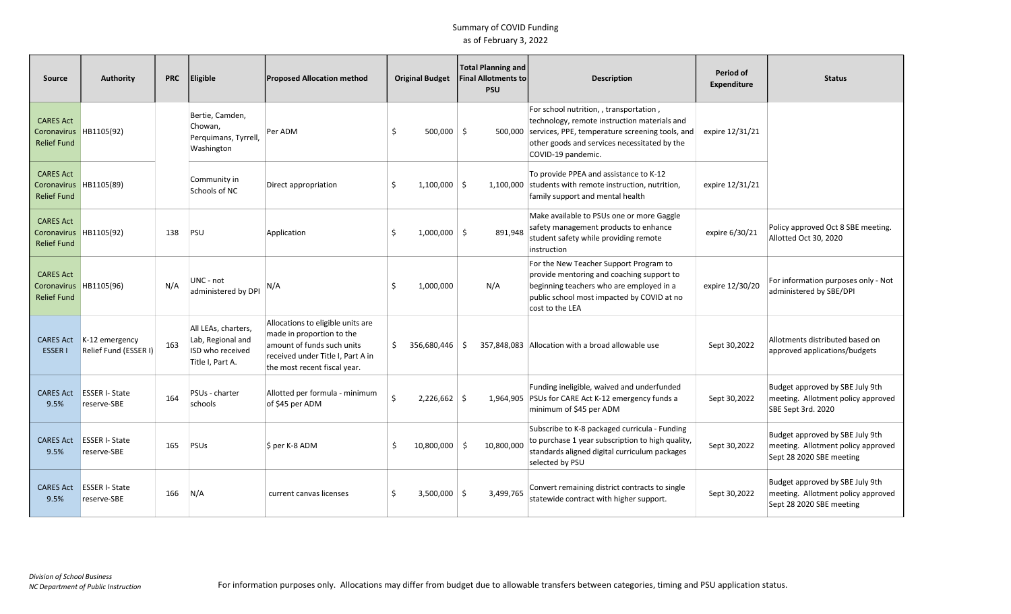| Source                                                | <b>Authority</b>                        | <b>PRC</b> | Eligible                                                                         | <b>Proposed Allocation method</b>                                                                                                                                 |    | <b>Original Budget</b> | Total Planning and<br>Final Allotments to<br><b>PSU</b> | <b>Description</b>                                                                                                                                                                                               | Period of<br>Expenditure | <b>Status</b>                                                                                     |
|-------------------------------------------------------|-----------------------------------------|------------|----------------------------------------------------------------------------------|-------------------------------------------------------------------------------------------------------------------------------------------------------------------|----|------------------------|---------------------------------------------------------|------------------------------------------------------------------------------------------------------------------------------------------------------------------------------------------------------------------|--------------------------|---------------------------------------------------------------------------------------------------|
| <b>CARES Act</b><br>Coronavirus<br><b>Relief Fund</b> | HB1105(92)                              |            | Bertie, Camden,<br>Chowan,<br>Perguimans, Tyrrell,<br>Washington                 | Per ADM                                                                                                                                                           | S  | $500,000$ \$           | 500.000                                                 | For school nutrition, , transportation,<br>technology, remote instruction materials and<br>services, PPE, temperature screening tools, and<br>other goods and services necessitated by the<br>COVID-19 pandemic. | expire 12/31/21          |                                                                                                   |
| <b>CARES Act</b><br>Coronavirus<br><b>Relief Fund</b> | HB1105(89)                              |            | Community in<br>Schools of NC                                                    | Direct appropriation                                                                                                                                              | Ś. | $1,100,000$ \$         | 1,100,000                                               | To provide PPEA and assistance to K-12<br>students with remote instruction, nutrition,<br>family support and mental health                                                                                       | expire 12/31/21          |                                                                                                   |
| <b>CARES Act</b><br>Coronavirus<br><b>Relief Fund</b> | HB1105(92)                              | 138        | PSU                                                                              | Application                                                                                                                                                       | Ś. | $1,000,000$ \$         | 891,948                                                 | Make available to PSUs one or more Gaggle<br>safety management products to enhance<br>student safety while providing remote<br>instruction                                                                       | expire 6/30/21           | Policy approved Oct 8 SBE meeting.<br>Allotted Oct 30, 2020                                       |
| <b>CARES Act</b><br>Coronavirus<br><b>Relief Fund</b> | HB1105(96)                              | N/A        | UNC - not<br>administered by DPI                                                 | N/A                                                                                                                                                               | Ś. | 1,000,000              | N/A                                                     | For the New Teacher Support Program to<br>provide mentoring and coaching support to<br>beginning teachers who are employed in a<br>public school most impacted by COVID at no<br>cost to the LEA                 | expire 12/30/20          | For information purposes only - Not<br>administered by SBE/DPI                                    |
| <b>CARES Act</b><br><b>ESSERI</b>                     | K-12 emergency<br>Relief Fund (ESSER I) | 163        | All LEAs, charters,<br>Lab, Regional and<br>ISD who received<br>Title I, Part A. | Allocations to eligible units are<br>made in proportion to the<br>amount of funds such units<br>received under Title I, Part A in<br>the most recent fiscal year. | S. | 356,680,446 \$         |                                                         | 357,848,083 Allocation with a broad allowable use                                                                                                                                                                | Sept 30,2022             | Allotments distributed based on<br>approved applications/budgets                                  |
| <b>CARES Act</b><br>9.5%                              | <b>ESSER I-State</b><br>reserve-SBE     | 164        | PSUs - charter<br>schools                                                        | Allotted per formula - minimum<br>of \$45 per ADM                                                                                                                 | Ś  | $2,226,662$ \$         |                                                         | Funding ineligible, waived and underfunded<br>1,964,905 PSUs for CARE Act K-12 emergency funds a<br>minimum of \$45 per ADM                                                                                      | Sept 30,2022             | Budget approved by SBE July 9th<br>meeting. Allotment policy approved<br>SBE Sept 3rd. 2020       |
| <b>CARES Act</b><br>9.5%                              | <b>ESSER I- State</b><br>reserve-SBE    | 165        | PSUs                                                                             | $$$ per K-8 ADM                                                                                                                                                   | Ŝ. | 10,800,000             | -\$<br>10,800,000                                       | Subscribe to K-8 packaged curricula - Funding<br>to purchase 1 year subscription to high quality,<br>standards aligned digital curriculum packages<br>selected by PSU                                            | Sept 30,2022             | Budget approved by SBE July 9th<br>meeting. Allotment policy approved<br>Sept 28 2020 SBE meeting |
| <b>CARES Act</b><br>9.5%                              | <b>ESSER I- State</b><br>reserve-SBE    | 166        | N/A                                                                              | current canvas licenses                                                                                                                                           |    | $3,500,000$ \$         | 3,499,765                                               | Convert remaining district contracts to single<br>statewide contract with higher support.                                                                                                                        | Sept 30,2022             | Budget approved by SBE July 9th<br>meeting. Allotment policy approved<br>Sept 28 2020 SBE meeting |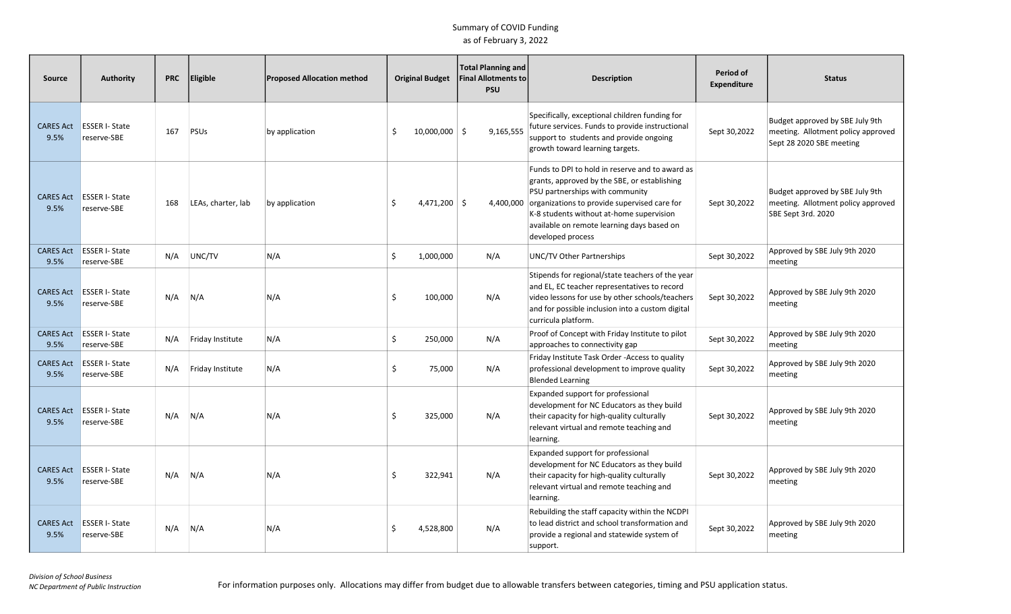| Source                   | <b>Authority</b>                     | <b>PRC</b> | Eligible           | <b>Proposed Allocation method</b> |     | <b>Original Budget</b> | <b>Total Planning and</b><br><b>Final Allotments to</b><br><b>PSU</b> |           | <b>Description</b>                                                                                                                                                                                                                                                                                | Period of<br><b>Expenditure</b> | <b>Status</b>                                                                                     |
|--------------------------|--------------------------------------|------------|--------------------|-----------------------------------|-----|------------------------|-----------------------------------------------------------------------|-----------|---------------------------------------------------------------------------------------------------------------------------------------------------------------------------------------------------------------------------------------------------------------------------------------------------|---------------------------------|---------------------------------------------------------------------------------------------------|
| <b>CARES Act</b><br>9.5% | <b>ESSER I-State</b><br>reserve-SBE  | 167        | <b>PSUs</b>        | by application                    | S   | $10,000,000$ \$        | 9,165,555                                                             |           | Specifically, exceptional children funding for<br>future services. Funds to provide instructional<br>support to students and provide ongoing<br>growth toward learning targets.                                                                                                                   | Sept 30,2022                    | Budget approved by SBE July 9th<br>meeting. Allotment policy approved<br>Sept 28 2020 SBE meeting |
| <b>CARES Act</b><br>9.5% | <b>ESSER I-State</b><br>reserve-SBE  | 168        | LEAs, charter, lab | by application                    | \$  | $4,471,200$ \$         |                                                                       | 4,400,000 | Funds to DPI to hold in reserve and to award as<br>grants, approved by the SBE, or establishing<br>PSU partnerships with community<br>organizations to provide supervised care for<br>K-8 students without at-home supervision<br>available on remote learning days based on<br>developed process | Sept 30,2022                    | Budget approved by SBE July 9th<br>meeting. Allotment policy approved<br>SBE Sept 3rd. 2020       |
| <b>CARES Act</b><br>9.5% | <b>ESSER I-State</b><br>reserve-SBE  | N/A        | UNC/TV             | N/A                               | \$  | 1,000,000              | N/A                                                                   |           | UNC/TV Other Partnerships                                                                                                                                                                                                                                                                         | Sept 30,2022                    | Approved by SBE July 9th 2020<br>meeting                                                          |
| <b>CARES Act</b><br>9.5% | <b>ESSER I-State</b><br>reserve-SBE  | N/A        | N/A                | N/A                               | Ś.  | 100,000                | N/A                                                                   |           | Stipends for regional/state teachers of the year<br>and EL, EC teacher representatives to record<br>video lessons for use by other schools/teachers<br>and for possible inclusion into a custom digital<br>curricula platform.                                                                    | Sept 30,2022                    | Approved by SBE July 9th 2020<br>meeting                                                          |
| <b>CARES Act</b><br>9.5% | <b>ESSER I-State</b><br>reserve-SBE  | N/A        | Friday Institute   | N/A                               | \$  | 250,000                | N/A                                                                   |           | Proof of Concept with Friday Institute to pilot<br>approaches to connectivity gap                                                                                                                                                                                                                 | Sept 30,2022                    | Approved by SBE July 9th 2020<br>meeting                                                          |
| <b>CARES Act</b><br>9.5% | <b>ESSER I- State</b><br>reserve-SBE | N/A        | Friday Institute   | N/A                               | \$. | 75,000                 | N/A                                                                   |           | Friday Institute Task Order - Access to quality<br>professional development to improve quality<br><b>Blended Learning</b>                                                                                                                                                                         | Sept 30,2022                    | Approved by SBE July 9th 2020<br>meeting                                                          |
| <b>CARES Act</b><br>9.5% | <b>ESSER I-State</b><br>reserve-SBE  | N/A        | N/A                | N/A                               | Ś.  | 325,000                | N/A                                                                   |           | Expanded support for professional<br>development for NC Educators as they build<br>their capacity for high-quality culturally<br>relevant virtual and remote teaching and<br>learning.                                                                                                            | Sept 30,2022                    | Approved by SBE July 9th 2020<br>meeting                                                          |
| <b>CARES Act</b><br>9.5% | <b>ESSER I- State</b><br>reserve-SBE | N/A        | N/A                | N/A                               | Ś.  | 322,941                | N/A                                                                   |           | Expanded support for professional<br>development for NC Educators as they build<br>their capacity for high-quality culturally<br>relevant virtual and remote teaching and<br>learning.                                                                                                            | Sept 30,2022                    | Approved by SBE July 9th 2020<br>meeting                                                          |
| <b>CARES Act</b><br>9.5% | <b>ESSER I- State</b><br>reserve-SBE | N/A        | N/A                | N/A                               | Š.  | 4,528,800              | N/A                                                                   |           | Rebuilding the staff capacity within the NCDPI<br>to lead district and school transformation and<br>provide a regional and statewide system of<br>support.                                                                                                                                        | Sept 30,2022                    | Approved by SBE July 9th 2020<br>meeting                                                          |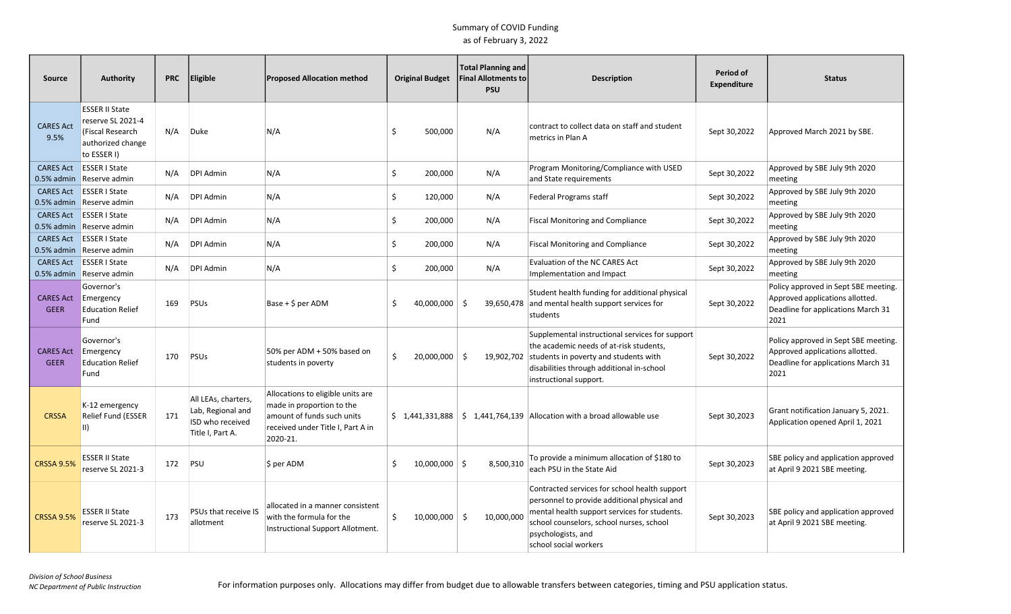| <b>Source</b>                     | <b>Authority</b>                                                                                   | <b>PRC</b> | Eligible                                                                         | <b>Proposed Allocation method</b>                                                                                                             |    | <b>Original Budget</b> | <b>Total Planning and</b><br><b>Final Allotments to</b><br><b>PSU</b> | <b>Description</b>                                                                                                                                                                                                                       | Period of<br>Expenditure | <b>Status</b>                                                                                                         |
|-----------------------------------|----------------------------------------------------------------------------------------------------|------------|----------------------------------------------------------------------------------|-----------------------------------------------------------------------------------------------------------------------------------------------|----|------------------------|-----------------------------------------------------------------------|------------------------------------------------------------------------------------------------------------------------------------------------------------------------------------------------------------------------------------------|--------------------------|-----------------------------------------------------------------------------------------------------------------------|
| <b>CARES Act</b><br>9.5%          | <b>ESSER II State</b><br>reserve SL 2021-4<br>(Fiscal Research<br>authorized change<br>to ESSER I) | N/A        | Duke                                                                             | N/A                                                                                                                                           | Ŝ. | 500,000                | N/A                                                                   | contract to collect data on staff and student<br>metrics in Plan A                                                                                                                                                                       | Sept 30,2022             | Approved March 2021 by SBE.                                                                                           |
| <b>CARES Act</b><br>$0.5\%$ admin | <b>ESSER I State</b><br>Reserve admin                                                              | N/A        | <b>DPI Admin</b>                                                                 | N/A                                                                                                                                           | \$ | 200,000                | N/A                                                                   | Program Monitoring/Compliance with USED<br>and State requirements                                                                                                                                                                        | Sept 30,2022             | Approved by SBE July 9th 2020<br>meeting                                                                              |
| <b>CARES Act</b><br>0.5% admin    | <b>ESSER I State</b><br>Reserve admin                                                              | N/A        | DPI Admin                                                                        | N/A                                                                                                                                           | Ŝ. | 120,000                | N/A                                                                   | <b>Federal Programs staff</b>                                                                                                                                                                                                            | Sept 30,2022             | Approved by SBE July 9th 2020<br>meeting                                                                              |
| <b>CARES Act</b>                  | <b>ESSER I State</b><br>0.5% admin Reserve admin                                                   | N/A        | DPI Admin                                                                        | N/A                                                                                                                                           | \$ | 200,000                | N/A                                                                   | <b>Fiscal Monitoring and Compliance</b>                                                                                                                                                                                                  | Sept 30,2022             | Approved by SBE July 9th 2020<br>meeting                                                                              |
| <b>CARES Act</b>                  | <b>ESSER I State</b><br>0.5% admin Reserve admin                                                   | N/A        | <b>DPI Admin</b>                                                                 | N/A                                                                                                                                           | \$ | 200,000                | N/A                                                                   | <b>Fiscal Monitoring and Compliance</b>                                                                                                                                                                                                  | Sept 30,2022             | Approved by SBE July 9th 2020<br>meeting                                                                              |
| <b>CARES Act</b>                  | <b>ESSER I State</b><br>0.5% admin Reserve admin                                                   | N/A        | <b>DPI Admin</b>                                                                 | N/A                                                                                                                                           | \$ | 200,000                | N/A                                                                   | Evaluation of the NC CARES Act<br>Implementation and Impact                                                                                                                                                                              | Sept 30,2022             | Approved by SBE July 9th 2020<br>meeting                                                                              |
| <b>CARES Act</b><br><b>GEER</b>   | Governor's<br>Emergency<br><b>Education Relief</b><br>Fund                                         | 169        | PSUs                                                                             | $Base + $ per ADM$                                                                                                                            | .S | 40,000,000             | 39,650,478<br>- Ś                                                     | Student health funding for additional physical<br>and mental health support services for<br>students                                                                                                                                     | Sept 30,2022             | Policy approved in Sept SBE meeting.<br>Approved applications allotted.<br>Deadline for applications March 31<br>2021 |
| <b>CARES Act</b><br><b>GEER</b>   | Governor's<br>Emergency<br><b>Education Relief</b><br>Fund                                         | 170        | PSUs                                                                             | 50% per ADM + 50% based on<br>students in poverty                                                                                             | Ŝ. | 20,000,000             | - \$<br>19,902,702                                                    | Supplemental instructional services for support<br>the academic needs of at-risk students,<br>students in poverty and students with<br>disabilities through additional in-school<br>instructional support.                               | Sept 30,2022             | Policy approved in Sept SBE meeting.<br>Approved applications allotted.<br>Deadline for applications March 31<br>2021 |
| <b>CRSSA</b>                      | K-12 emergency<br>Relief Fund (ESSER<br>II)                                                        | 171        | All LEAs, charters,<br>Lab, Regional and<br>ISD who received<br>Title I, Part A. | Allocations to eligible units are<br>made in proportion to the<br>amount of funds such units<br>received under Title I, Part A in<br>2020-21. |    |                        |                                                                       | $\binom{1}{4}$ 1,441,331,888 $\binom{1}{2}$ 1,441,764,139 Allocation with a broad allowable use                                                                                                                                          | Sept 30,2023             | Grant notification January 5, 2021.<br>Application opened April 1, 2021                                               |
| <b>CRSSA 9.5%</b>                 | <b>ESSER II State</b><br>reserve SL 2021-3                                                         | 172        | PSU                                                                              | \$ per ADM                                                                                                                                    | \$ | $10,000,000$ \$        | 8,500,310                                                             | To provide a minimum allocation of \$180 to<br>each PSU in the State Aid                                                                                                                                                                 | Sept 30,2023             | SBE policy and application approved<br>at April 9 2021 SBE meeting.                                                   |
| <b>CRSSA 9.5%</b>                 | <b>ESSER II State</b><br>reserve SL 2021-3                                                         | 173        | PSUs that receive IS<br>allotment                                                | allocated in a manner consistent<br>with the formula for the<br>Instructional Support Allotment.                                              | \$ | 10,000,000             | -\$<br>10,000,000                                                     | Contracted services for school health support<br>personnel to provide additional physical and<br>mental health support services for students.<br>school counselors, school nurses, school<br>psychologists, and<br>school social workers | Sept 30,2023             | SBE policy and application approved<br>at April 9 2021 SBE meeting.                                                   |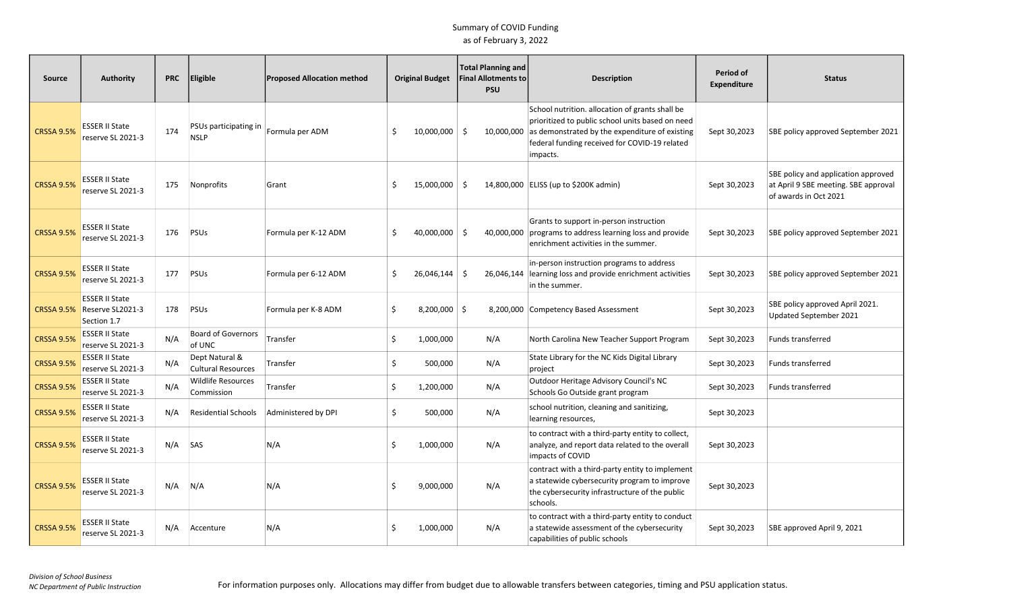| <b>Source</b>     | <b>Authority</b>                                         | <b>PRC</b> | <b>Eligible</b>                             | <b>Proposed Allocation method</b> |    | <b>Original Budget</b> | <b>Total Planning and</b><br><b>Final Allotments to</b><br><b>PSU</b> | <b>Description</b>                                                                                                                                                                                                 | Period of<br>Expenditure | <b>Status</b>                                                                                        |
|-------------------|----------------------------------------------------------|------------|---------------------------------------------|-----------------------------------|----|------------------------|-----------------------------------------------------------------------|--------------------------------------------------------------------------------------------------------------------------------------------------------------------------------------------------------------------|--------------------------|------------------------------------------------------------------------------------------------------|
| <b>CRSSA 9.5%</b> | <b>ESSER II State</b><br>reserve SL 2021-3               | 174        | PSUs participating in<br><b>NSLP</b>        | Formula per ADM                   | Ŝ. | 10,000,000 \$          | 10,000,000                                                            | School nutrition. allocation of grants shall be<br>prioritized to public school units based on need<br>as demonstrated by the expenditure of existing<br>federal funding received for COVID-19 related<br>impacts. | Sept 30,2023             | SBE policy approved September 2021                                                                   |
| <b>CRSSA 9.5%</b> | <b>ESSER II State</b><br>reserve SL 2021-3               | 175        | Nonprofits                                  | Grant                             | -S | $15,000,000$ \$        |                                                                       | 14,800,000 ELISS (up to \$200K admin)                                                                                                                                                                              | Sept 30,2023             | SBE policy and application approved<br>at April 9 SBE meeting. SBE approval<br>of awards in Oct 2021 |
| <b>CRSSA 9.5%</b> | <b>ESSER II State</b><br>reserve SL 2021-3               | 176        | PSUS                                        | Formula per K-12 ADM              | Ŝ. | 40,000,000 \$          | 40,000,000                                                            | Grants to support in-person instruction<br>programs to address learning loss and provide<br>enrichment activities in the summer.                                                                                   | Sept 30,2023             | SBE policy approved September 2021                                                                   |
| <b>CRSSA 9.5%</b> | <b>ESSER II State</b><br>reserve SL 2021-3               | 177        | PSUS                                        | Formula per 6-12 ADM              | \$ | 26,046,144             | -\$<br>26,046,144                                                     | in-person instruction programs to address<br>learning loss and provide enrichment activities<br>in the summer.                                                                                                     | Sept 30,2023             | SBE policy approved September 2021                                                                   |
| <b>CRSSA 9.5%</b> | <b>ESSER II State</b><br>Reserve SL2021-3<br>Section 1.7 | 178        | PSUS                                        | Formula per K-8 ADM               | \$ | $8,200,000$ \$         |                                                                       | 8,200,000 Competency Based Assessment                                                                                                                                                                              | Sept 30,2023             | SBE policy approved April 2021.<br>Updated September 2021                                            |
| <b>CRSSA 9.5%</b> | <b>ESSER II State</b><br>reserve SL 2021-3               | N/A        | <b>Board of Governors</b><br>of UNC         | Transfer                          | \$ | 1,000,000              | N/A                                                                   | North Carolina New Teacher Support Program                                                                                                                                                                         | Sept 30,2023             | Funds transferred                                                                                    |
| <b>CRSSA 9.5%</b> | ESSER II State<br>reserve SL 2021-3                      | N/A        | Dept Natural &<br><b>Cultural Resources</b> | Transfer                          | \$ | 500,000                | N/A                                                                   | State Library for the NC Kids Digital Library<br>project                                                                                                                                                           | Sept 30,2023             | <b>Funds transferred</b>                                                                             |
| <b>CRSSA 9.5%</b> | ESSER II State<br>reserve SL 2021-3                      | N/A        | <b>Wildlife Resources</b><br>Commission     | Transfer                          | \$ | 1,200,000              | N/A                                                                   | Outdoor Heritage Advisory Council's NC<br>Schools Go Outside grant program                                                                                                                                         | Sept 30,2023             | <b>Funds transferred</b>                                                                             |
| <b>CRSSA 9.5%</b> | <b>ESSER II State</b><br>reserve SL 2021-3               | N/A        | <b>Residential Schools</b>                  | Administered by DPI               | \$ | 500,000                | N/A                                                                   | school nutrition, cleaning and sanitizing,<br>learning resources,                                                                                                                                                  | Sept 30,2023             |                                                                                                      |
| <b>CRSSA 9.5%</b> | ESSER II State<br>reserve SL 2021-3                      | N/A        | SAS                                         | N/A                               | \$ | 1,000,000              | N/A                                                                   | to contract with a third-party entity to collect,<br>analyze, and report data related to the overall<br>impacts of COVID                                                                                           | Sept 30,2023             |                                                                                                      |
| <b>CRSSA 9.5%</b> | <b>ESSER II State</b><br>reserve SL 2021-3               | N/A        | N/A                                         | N/A                               | Ŝ. | 9,000,000              | N/A                                                                   | contract with a third-party entity to implement<br>a statewide cybersecurity program to improve<br>the cybersecurity infrastructure of the public<br>schools.                                                      | Sept 30,2023             |                                                                                                      |
| <b>CRSSA 9.5%</b> | <b>ESSER II State</b><br>reserve SL 2021-3               | N/A        | Accenture                                   | N/A                               |    | 1,000,000              | N/A                                                                   | to contract with a third-party entity to conduct<br>a statewide assessment of the cybersecurity<br>capabilities of public schools                                                                                  | Sept 30,2023             | SBE approved April 9, 2021                                                                           |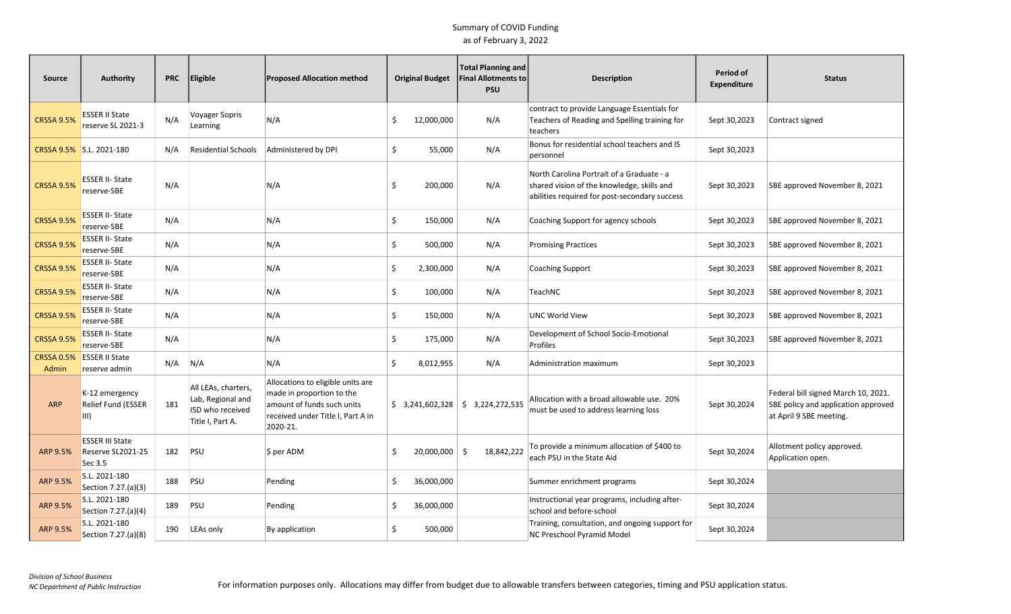| <b>Source</b>              | <b>Authority</b>                                       | <b>PRC</b> | Eligible                                                                         | <b>Proposed Allocation method</b>                                                                                                             |    | <b>Original Budget</b> | <b>Total Planning and</b><br><b>Final Allotments to</b><br><b>PSU</b> | <b>Description</b>                                                                                                                       | Period of<br><b>Expenditure</b> | <b>Status</b>                                                                                         |
|----------------------------|--------------------------------------------------------|------------|----------------------------------------------------------------------------------|-----------------------------------------------------------------------------------------------------------------------------------------------|----|------------------------|-----------------------------------------------------------------------|------------------------------------------------------------------------------------------------------------------------------------------|---------------------------------|-------------------------------------------------------------------------------------------------------|
| <b>CRSSA 9.5%</b>          | <b>ESSER II State</b><br>reserve SL 2021-3             | N/A        | Voyager Sopris<br>Learning                                                       | N/A                                                                                                                                           | Ŝ. | 12,000,000             | N/A                                                                   | contract to provide Language Essentials for<br>Teachers of Reading and Spelling training for<br>teachers                                 | Sept 30,2023                    | Contract signed                                                                                       |
|                            | CRSSA 9.5% S.L. 2021-180                               | N/A        | <b>Residential Schools</b>                                                       | Administered by DPI                                                                                                                           | \$ | 55,000                 | N/A                                                                   | Bonus for residential school teachers and IS<br>personnel                                                                                | Sept 30,2023                    |                                                                                                       |
| <b>CRSSA 9.5%</b>          | <b>ESSER II- State</b><br>reserve-SBE                  | N/A        |                                                                                  | N/A                                                                                                                                           | \$ | 200,000                | N/A                                                                   | North Carolina Portrait of a Graduate - a<br>shared vision of the knowledge, skills and<br>abilities required for post-secondary success | Sept 30,2023                    | SBE approved November 8, 2021                                                                         |
| <b>CRSSA 9.5%</b>          | <b>ESSER II-State</b><br>reserve-SBE                   | N/A        |                                                                                  | N/A                                                                                                                                           | \$ | 150,000                | N/A                                                                   | Coaching Support for agency schools                                                                                                      | Sept 30,2023                    | SBE approved November 8, 2021                                                                         |
| <b>CRSSA 9.5%</b>          | <b>ESSER II-State</b><br>reserve-SBE                   | N/A        |                                                                                  | N/A                                                                                                                                           | \$ | 500,000                | N/A                                                                   | <b>Promising Practices</b>                                                                                                               | Sept 30,2023                    | SBE approved November 8, 2021                                                                         |
| <b>CRSSA 9.5%</b>          | <b>ESSER II- State</b><br>reserve-SBE                  | N/A        |                                                                                  | N/A                                                                                                                                           | \$ | 2,300,000              | N/A                                                                   | <b>Coaching Support</b>                                                                                                                  | Sept 30,2023                    | SBE approved November 8, 2021                                                                         |
| <b>CRSSA 9.5%</b>          | <b>ESSER II-State</b><br>reserve-SBE                   | N/A        |                                                                                  | N/A                                                                                                                                           | \$ | 100,000                | N/A                                                                   | TeachNC                                                                                                                                  | Sept 30,2023                    | SBE approved November 8, 2021                                                                         |
| <b>CRSSA 9.5%</b>          | <b>ESSER II- State</b><br>reserve-SBE                  | N/A        |                                                                                  | N/A                                                                                                                                           | \$ | 150,000                | N/A                                                                   | UNC World View                                                                                                                           | Sept 30,2023                    | SBE approved November 8, 2021                                                                         |
| <b>CRSSA 9.5%</b>          | <b>ESSER II- State</b><br>reserve-SBE                  | N/A        |                                                                                  | N/A                                                                                                                                           | \$ | 175,000                | N/A                                                                   | Development of School Socio-Emotional<br>Profiles                                                                                        | Sept 30,2023                    | SBE approved November 8, 2021                                                                         |
| <b>CRSSA 0.5%</b><br>Admin | <b>ESSER II State</b><br>reserve admin                 | N/A        | N/A                                                                              | N/A                                                                                                                                           | \$ | 8,012,955              | N/A                                                                   | Administration maximum                                                                                                                   | Sept 30,2023                    |                                                                                                       |
| <b>ARP</b>                 | K-12 emergency<br>Relief Fund (ESSER<br>III)           | 181        | All LEAs, charters,<br>Lab, Regional and<br>ISD who received<br>Title I, Part A. | Allocations to eligible units are<br>made in proportion to the<br>amount of funds such units<br>received under Title I, Part A in<br>2020-21. |    |                        | $$3,241,602,328 \mid $3,224,272,535$                                  | Allocation with a broad allowable use. 20%<br>must be used to address learning loss                                                      | Sept 30,2024                    | Federal bill signed March 10, 2021.<br>SBE policy and application approved<br>at April 9 SBE meeting. |
| ARP 9.5%                   | <b>ESSER III State</b><br>Reserve SL2021-25<br>Sec 3.5 | 182        | PSU                                                                              | \$ per ADM                                                                                                                                    | .S | $20,000,000$ \$        | 18,842,222                                                            | To provide a minimum allocation of \$400 to<br>each PSU in the State Aid                                                                 | Sept 30,2024                    | Allotment policy approved.<br>Application open.                                                       |
| ARP 9.5%                   | S.L. 2021-180<br>Section 7.27.(a)(3)                   | 188        | PSU                                                                              | Pending                                                                                                                                       | Ŝ. | 36,000,000             |                                                                       | Summer enrichment programs                                                                                                               | Sept 30,2024                    |                                                                                                       |
| ARP 9.5%                   | S.L. 2021-180<br>Section 7.27.(a)(4)                   | 189        | PSU                                                                              | Pending                                                                                                                                       | \$ | 36,000,000             |                                                                       | Instructional year programs, including after-<br>school and before-school                                                                | Sept 30,2024                    |                                                                                                       |
| ARP 9.5%                   | S.L. 2021-180<br>Section 7.27.(a)(8)                   | 190        | LEAs only                                                                        | By application                                                                                                                                | \$ | 500,000                |                                                                       | Training, consultation, and ongoing support for<br>NC Preschool Pyramid Model                                                            | Sept 30,2024                    |                                                                                                       |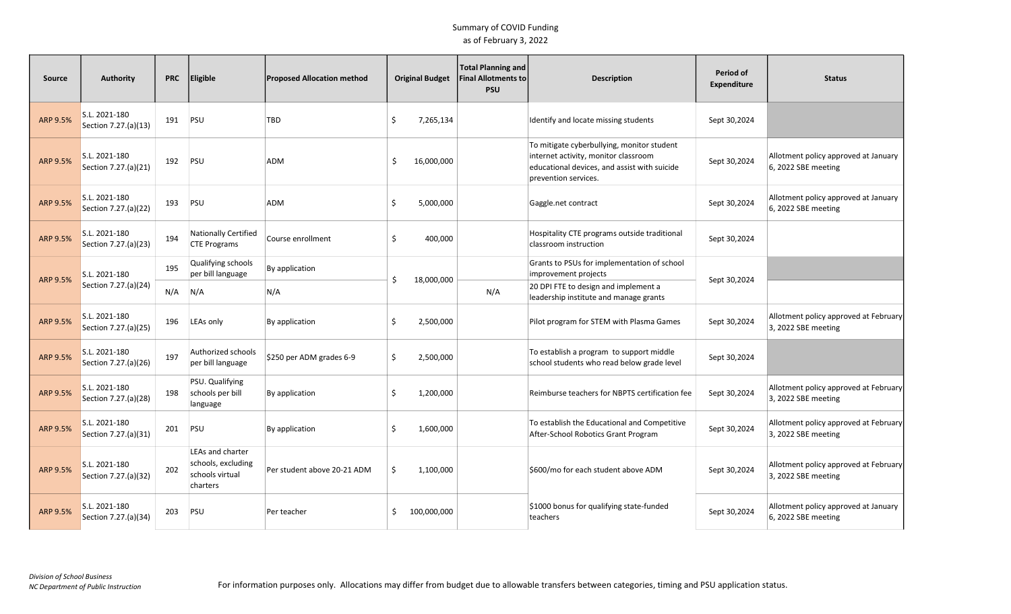| Source   | <b>Authority</b>                      | <b>PRC</b> | <b>Eligible</b>                                                       | <b>Proposed Allocation method</b> |    | <b>Original Budget</b> | <b>Total Planning and</b><br><b>Final Allotments to</b><br><b>PSU</b> | <b>Description</b>                                                                                                                                         | Period of<br><b>Expenditure</b> | <b>Status</b>                                                |
|----------|---------------------------------------|------------|-----------------------------------------------------------------------|-----------------------------------|----|------------------------|-----------------------------------------------------------------------|------------------------------------------------------------------------------------------------------------------------------------------------------------|---------------------------------|--------------------------------------------------------------|
| ARP 9.5% | S.L. 2021-180<br>Section 7.27.(a)(13) | 191        | PSU                                                                   | TBD                               | Ŝ. | 7,265,134              |                                                                       | Identify and locate missing students                                                                                                                       | Sept 30,2024                    |                                                              |
| ARP 9.5% | S.L. 2021-180<br>Section 7.27.(a)(21) | 192        | PSU                                                                   | ADM                               | .S | 16,000,000             |                                                                       | To mitigate cyberbullying, monitor student<br>internet activity, monitor classroom<br>educational devices, and assist with suicide<br>prevention services. | Sept 30,2024                    | Allotment policy approved at January<br>6, 2022 SBE meeting  |
| ARP 9.5% | S.L. 2021-180<br>Section 7.27.(a)(22) | 193        | PSU                                                                   | ADM                               | Ś. | 5,000,000              |                                                                       | Gaggle.net contract                                                                                                                                        | Sept 30,2024                    | Allotment policy approved at January<br>6, 2022 SBE meeting  |
| ARP 9.5% | S.L. 2021-180<br>Section 7.27.(a)(23) | 194        | <b>Nationally Certified</b><br><b>CTE Programs</b>                    | Course enrollment                 | \$ | 400,000                |                                                                       | Hospitality CTE programs outside traditional<br>classroom instruction                                                                                      | Sept 30,2024                    |                                                              |
|          | S.L. 2021-180                         | 195        | Qualifying schools<br>per bill language                               | By application                    |    |                        |                                                                       | Grants to PSUs for implementation of school<br>improvement projects                                                                                        |                                 |                                                              |
| ARP 9.5% | Section 7.27.(a)(24)                  | N/A        | N/A                                                                   | N/A                               | Ŝ. | 18,000,000             | N/A                                                                   | 20 DPI FTE to design and implement a<br>leadership institute and manage grants                                                                             | Sept 30,2024                    |                                                              |
| ARP 9.5% | S.L. 2021-180<br>Section 7.27.(a)(25) | 196        | LEAs only                                                             | By application                    | Ŝ. | 2,500,000              |                                                                       | Pilot program for STEM with Plasma Games                                                                                                                   | Sept 30,2024                    | Allotment policy approved at February<br>3, 2022 SBE meeting |
| ARP 9.5% | S.L. 2021-180<br>Section 7.27.(a)(26) | 197        | Authorized schools<br>per bill language                               | \$250 per ADM grades 6-9          | Ś. | 2,500,000              |                                                                       | To establish a program to support middle<br>school students who read below grade level                                                                     | Sept 30,2024                    |                                                              |
| ARP 9.5% | S.L. 2021-180<br>Section 7.27.(a)(28) | 198        | PSU. Qualifying<br>schools per bill<br>language                       | By application                    | Ś. | 1,200,000              |                                                                       | Reimburse teachers for NBPTS certification fee                                                                                                             | Sept 30,2024                    | Allotment policy approved at February<br>3, 2022 SBE meeting |
| ARP 9.5% | S.L. 2021-180<br>Section 7.27.(a)(31) | 201        | PSU                                                                   | By application                    | Ŝ. | 1,600,000              |                                                                       | To establish the Educational and Competitive<br>After-School Robotics Grant Program                                                                        | Sept 30,2024                    | Allotment policy approved at February<br>3, 2022 SBE meeting |
| ARP 9.5% | S.L. 2021-180<br>Section 7.27.(a)(32) | 202        | LEAs and charter<br>schools, excluding<br>schools virtual<br>charters | Per student above 20-21 ADM       | Ŝ. | 1,100,000              |                                                                       | \$600/mo for each student above ADM                                                                                                                        | Sept 30,2024                    | Allotment policy approved at February<br>3, 2022 SBE meeting |
| ARP 9.5% | S.L. 2021-180<br>Section 7.27.(a)(34) | 203        | PSU                                                                   | Per teacher                       | S. | 100,000,000            |                                                                       | \$1000 bonus for qualifying state-funded<br>teachers                                                                                                       | Sept 30,2024                    | Allotment policy approved at January<br>6, 2022 SBE meeting  |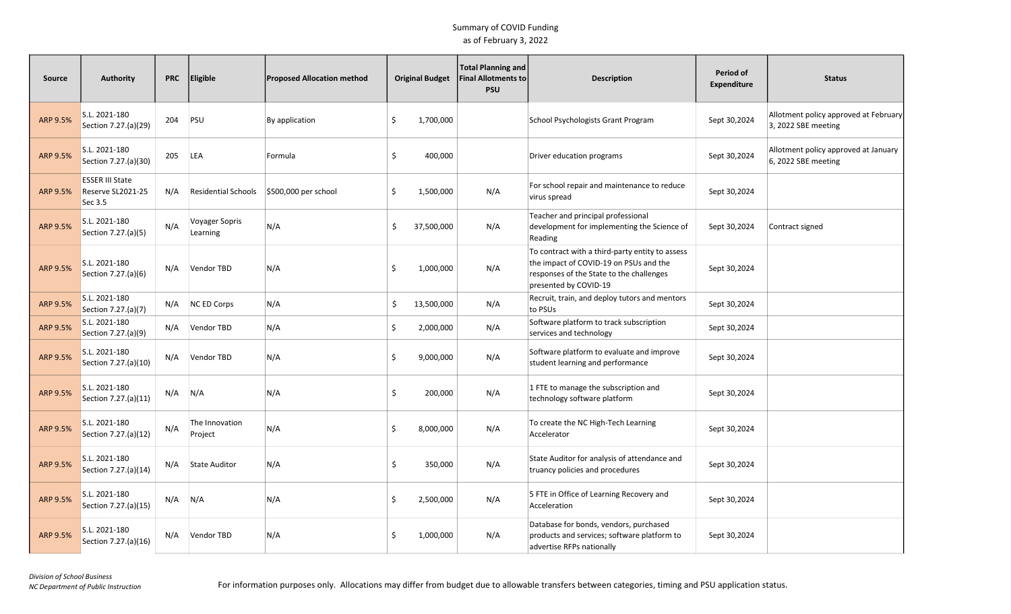| Source          | <b>Authority</b>                                       | <b>PRC</b> | Eligible                   | <b>Proposed Allocation method</b> |    | <b>Original Budget</b> | <b>Total Planning and</b><br><b>Final Allotments to</b><br><b>PSU</b> | <b>Description</b>                                                                                                                                             | Period of<br><b>Expenditure</b> | <b>Status</b>                                                |
|-----------------|--------------------------------------------------------|------------|----------------------------|-----------------------------------|----|------------------------|-----------------------------------------------------------------------|----------------------------------------------------------------------------------------------------------------------------------------------------------------|---------------------------------|--------------------------------------------------------------|
| <b>ARP 9.5%</b> | S.L. 2021-180<br>Section 7.27.(a)(29)                  | 204        | PSU                        | By application                    | \$ | 1,700,000              |                                                                       | School Psychologists Grant Program                                                                                                                             | Sept 30,2024                    | Allotment policy approved at February<br>3, 2022 SBE meeting |
| ARP 9.5%        | S.L. 2021-180<br>Section 7.27.(a)(30)                  | 205        | <b>LEA</b>                 | Formula                           | \$ | 400,000                |                                                                       | Driver education programs                                                                                                                                      | Sept 30,2024                    | Allotment policy approved at January<br>6, 2022 SBE meeting  |
| ARP 9.5%        | <b>ESSER III State</b><br>Reserve SL2021-25<br>Sec 3.5 | N/A        | <b>Residential Schools</b> | \$500,000 per school              | Ś. | 1,500,000              | N/A                                                                   | For school repair and maintenance to reduce<br>virus spread                                                                                                    | Sept 30,2024                    |                                                              |
| ARP 9.5%        | S.L. 2021-180<br>Section 7.27.(a)(5)                   | N/A        | Voyager Sopris<br>Learning | N/A                               | \$ | 37,500,000             | N/A                                                                   | Teacher and principal professional<br>development for implementing the Science of<br>Reading                                                                   | Sept 30,2024                    | Contract signed                                              |
| ARP 9.5%        | S.L. 2021-180<br>Section 7.27.(a)(6)                   | N/A        | Vendor TBD                 | N/A                               | Ś. | 1,000,000              | N/A                                                                   | To contract with a third-party entity to assess<br>the impact of COVID-19 on PSUs and the<br>responses of the State to the challenges<br>presented by COVID-19 | Sept 30,2024                    |                                                              |
| ARP 9.5%        | S.L. 2021-180<br>Section 7.27.(a)(7)                   | N/A        | <b>NC ED Corps</b>         | N/A                               | \$ | 13,500,000             | N/A                                                                   | Recruit, train, and deploy tutors and mentors<br>to PSUs                                                                                                       | Sept 30,2024                    |                                                              |
| ARP 9.5%        | S.L. 2021-180<br>Section 7.27.(a)(9)                   | N/A        | Vendor TBD                 | N/A                               | \$ | 2,000,000              | N/A                                                                   | Software platform to track subscription<br>services and technology                                                                                             | Sept 30,2024                    |                                                              |
| ARP 9.5%        | S.L. 2021-180<br>Section 7.27.(a)(10)                  | N/A        | Vendor TBD                 | N/A                               | Ś. | 9,000,000              | N/A                                                                   | Software platform to evaluate and improve<br>student learning and performance                                                                                  | Sept 30,2024                    |                                                              |
| ARP 9.5%        | S.L. 2021-180<br>Section 7.27.(a)(11)                  | N/A        | N/A                        | N/A                               | \$ | 200,000                | N/A                                                                   | 1 FTE to manage the subscription and<br>technology software platform                                                                                           | Sept 30,2024                    |                                                              |
| ARP 9.5%        | S.L. 2021-180<br>Section 7.27.(a)(12)                  | N/A        | The Innovation<br>Project  | N/A                               | Ś. | 8,000,000              | N/A                                                                   | To create the NC High-Tech Learning<br>Accelerator                                                                                                             | Sept 30,2024                    |                                                              |
| ARP 9.5%        | S.L. 2021-180<br>Section 7.27.(a)(14)                  | N/A        | State Auditor              | N/A                               | \$ | 350,000                | N/A                                                                   | State Auditor for analysis of attendance and<br>truancy policies and procedures                                                                                | Sept 30,2024                    |                                                              |
| ARP 9.5%        | S.L. 2021-180<br>Section 7.27.(a)(15)                  | N/A        | N/A                        | N/A                               | \$ | 2,500,000              | N/A                                                                   | 5 FTE in Office of Learning Recovery and<br>Acceleration                                                                                                       | Sept 30,2024                    |                                                              |
| ARP 9.5%        | S.L. 2021-180<br>Section 7.27.(a)(16)                  | N/A        | Vendor TBD                 | N/A                               | Ś. | 1,000,000              | N/A                                                                   | Database for bonds, vendors, purchased<br>products and services; software platform to<br>advertise RFPs nationally                                             | Sept 30,2024                    |                                                              |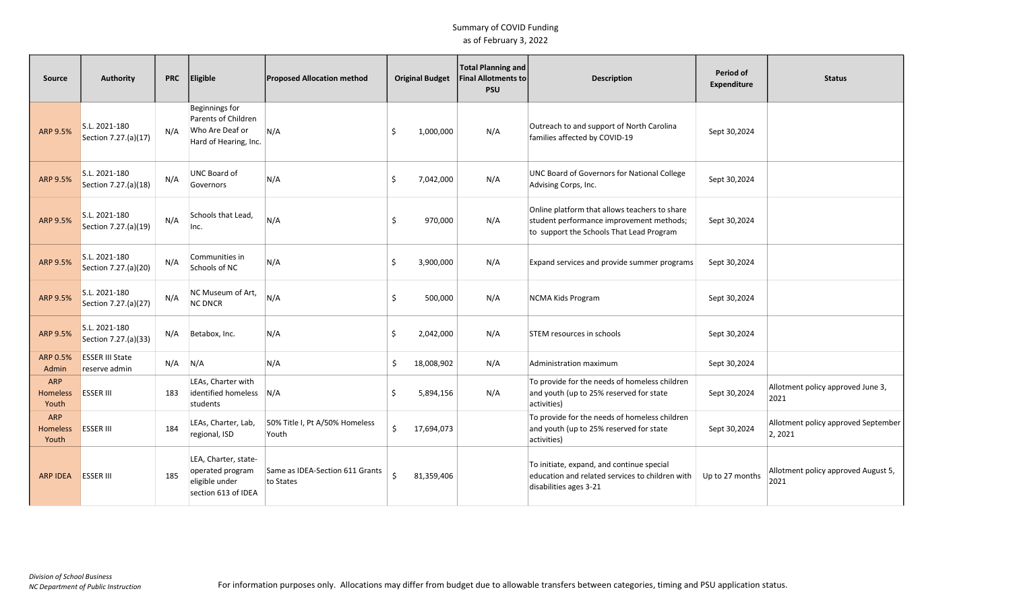| <b>Source</b>                   | Authority                               | <b>PRC</b> | Eligible                                                                                 | <b>Proposed Allocation method</b>            |    | <b>Original Budget</b> | <b>Total Planning and</b><br><b>Final Allotments to</b><br><b>PSU</b> | <b>Description</b>                                                                                                                    | Period of<br>Expenditure | <b>Status</b>                                  |
|---------------------------------|-----------------------------------------|------------|------------------------------------------------------------------------------------------|----------------------------------------------|----|------------------------|-----------------------------------------------------------------------|---------------------------------------------------------------------------------------------------------------------------------------|--------------------------|------------------------------------------------|
| ARP 9.5%                        | S.L. 2021-180<br>Section 7.27.(a)(17)   | N/A        | <b>Beginnings for</b><br>Parents of Children<br>Who Are Deaf or<br>Hard of Hearing, Inc. | N/A                                          | \$ | 1,000,000              | N/A                                                                   | Outreach to and support of North Carolina<br>families affected by COVID-19                                                            | Sept 30,2024             |                                                |
| ARP 9.5%                        | S.L. 2021-180<br>Section 7.27.(a)(18)   | N/A        | UNC Board of<br>Governors                                                                | N/A                                          | \$ | 7,042,000              | N/A                                                                   | <b>UNC Board of Governors for National College</b><br>Advising Corps, Inc.                                                            | Sept 30,2024             |                                                |
| ARP 9.5%                        | S.L. 2021-180<br>Section 7.27.(a)(19)   | N/A        | Schools that Lead,<br>Inc.                                                               | N/A                                          | Ś. | 970,000                | N/A                                                                   | Online platform that allows teachers to share<br>student performance improvement methods;<br>to support the Schools That Lead Program | Sept 30,2024             |                                                |
| ARP 9.5%                        | S.L. 2021-180<br>Section 7.27.(a)(20)   | N/A        | Communities in<br>Schools of NC                                                          | N/A                                          | \$ | 3,900,000              | N/A                                                                   | Expand services and provide summer programs                                                                                           | Sept 30,2024             |                                                |
| ARP 9.5%                        | S.L. 2021-180<br>Section 7.27.(a)(27)   | N/A        | NC Museum of Art.<br><b>NC DNCR</b>                                                      | N/A                                          | Ś. | 500,000                | N/A                                                                   | NCMA Kids Program                                                                                                                     | Sept 30,2024             |                                                |
| ARP 9.5%                        | S.L. 2021-180<br>Section 7.27.(a)(33)   | N/A        | Betabox, Inc.                                                                            | N/A                                          | Ś. | 2,042,000              | N/A                                                                   | STEM resources in schools                                                                                                             | Sept 30,2024             |                                                |
| ARP 0.5%<br>Admin               | <b>ESSER III State</b><br>reserve admin | N/A        | N/A                                                                                      | N/A                                          | Ŝ. | 18,008,902             | N/A                                                                   | Administration maximum                                                                                                                | Sept 30,2024             |                                                |
| <b>ARP</b><br>Homeless<br>Youth | <b>ESSER III</b>                        | 183        | LEAs, Charter with<br>identified homeless<br>students                                    | N/A                                          | Ś. | 5,894,156              | N/A                                                                   | To provide for the needs of homeless children<br>and youth (up to 25% reserved for state<br>activities)                               | Sept 30,2024             | Allotment policy approved June 3,<br>2021      |
| <b>ARP</b><br>Homeless<br>Youth | <b>ESSER III</b>                        | 184        | LEAs, Charter, Lab,<br>regional, ISD                                                     | 50% Title I, Pt A/50% Homeless<br>Youth      | Ś. | 17,694,073             |                                                                       | To provide for the needs of homeless children<br>and youth (up to 25% reserved for state<br>activities)                               | Sept 30,2024             | Allotment policy approved September<br>2, 2021 |
| ARP IDEA                        | <b>ESSER III</b>                        | 185        | LEA, Charter, state-<br>operated program<br>eligible under<br>section 613 of IDEA        | Same as IDEA-Section 611 Grants<br>to States |    | 81,359,406             |                                                                       | To initiate, expand, and continue special<br>education and related services to children with<br>disabilities ages 3-21                | Up to 27 months          | Allotment policy approved August 5,<br>2021    |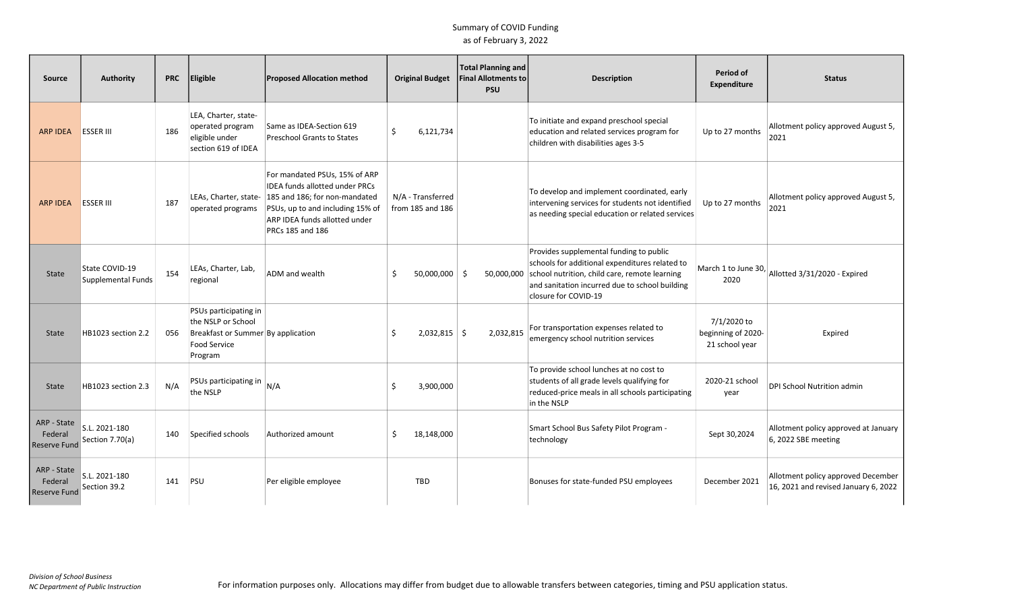| Source                                        | Authority                            | <b>PRC</b> | <b>Eligible</b>                                                                                                     | <b>Proposed Allocation method</b>                                                                                                                                                                                      | <b>Original Budget</b>                | Total Planning and<br><b>Final Allotments to</b><br><b>PSU</b> | <b>Description</b>                                                                                                                                                                                                   | Period of<br>Expenditure                            | <b>Status</b>                                                              |
|-----------------------------------------------|--------------------------------------|------------|---------------------------------------------------------------------------------------------------------------------|------------------------------------------------------------------------------------------------------------------------------------------------------------------------------------------------------------------------|---------------------------------------|----------------------------------------------------------------|----------------------------------------------------------------------------------------------------------------------------------------------------------------------------------------------------------------------|-----------------------------------------------------|----------------------------------------------------------------------------|
| <b>ARP IDEA</b>                               | <b>ESSER III</b>                     | 186        | LEA, Charter, state-<br>operated program<br>eligible under<br>section 619 of IDEA                                   | Same as IDEA-Section 619<br>Preschool Grants to States                                                                                                                                                                 | Ś.<br>6,121,734                       |                                                                | To initiate and expand preschool special<br>education and related services program for<br>children with disabilities ages 3-5                                                                                        | Up to 27 months                                     | Allotment policy approved August 5,<br>2021                                |
| <b>ARP IDEA</b>                               | <b>ESSER III</b>                     | 187        | operated programs                                                                                                   | For mandated PSUs, 15% of ARP<br><b>IDEA funds allotted under PRCs</b><br>LEAs, Charter, state- 185 and 186; for non-mandated<br>PSUs, up to and including 15% of<br>ARP IDEA funds allotted under<br>PRCs 185 and 186 | N/A - Transferred<br>from 185 and 186 |                                                                | To develop and implement coordinated, early<br>intervening services for students not identified<br>as needing special education or related services                                                                  | Up to 27 months                                     | Allotment policy approved August 5,<br>2021                                |
| State                                         | State COVID-19<br>Supplemental Funds | 154        | LEAs, Charter, Lab,<br>regional                                                                                     | ADM and wealth                                                                                                                                                                                                         | $50,000,000$ \$<br>Ś.                 | 50,000,000                                                     | Provides supplemental funding to public<br>schools for additional expenditures related to<br>school nutrition, child care, remote learning<br>and sanitation incurred due to school building<br>closure for COVID-19 | 2020                                                | March 1 to June 30, $\vert$ Allotted 3/31/2020 - Expired                   |
| <b>State</b>                                  | HB1023 section 2.2                   | 056        | PSUs participating in<br>the NSLP or School<br>Breakfast or Summer By application<br><b>Food Service</b><br>Program |                                                                                                                                                                                                                        | $2,032,815$ \$<br>Ŝ                   | 2,032,815                                                      | For transportation expenses related to<br>emergency school nutrition services                                                                                                                                        | 7/1/2020 to<br>beginning of 2020-<br>21 school year | Expired                                                                    |
| <b>State</b>                                  | HB1023 section 2.3                   | N/A        | PSUs participating in<br>the NSLP                                                                                   | N/A                                                                                                                                                                                                                    | 3,900,000<br>Ŝ                        |                                                                | To provide school lunches at no cost to<br>students of all grade levels qualifying for<br>reduced-price meals in all schools participating<br>in the NSLP                                                            | 2020-21 school<br>year                              | DPI School Nutrition admin                                                 |
| ARP - State<br>Federal<br><b>Reserve Fund</b> | S.L. 2021-180<br>Section 7.70(a)     | 140        | Specified schools                                                                                                   | Authorized amount                                                                                                                                                                                                      | 18,148,000<br>Ś.                      |                                                                | Smart School Bus Safety Pilot Program -<br>technology                                                                                                                                                                | Sept 30,2024                                        | Allotment policy approved at January<br>6, 2022 SBE meeting                |
| ARP - State<br>Federal<br><b>Reserve Fund</b> | S.L. 2021-180<br>Section 39.2        | 141        | PSU                                                                                                                 | Per eligible employee                                                                                                                                                                                                  | TBD                                   |                                                                | Bonuses for state-funded PSU employees                                                                                                                                                                               | December 2021                                       | Allotment policy approved December<br>16, 2021 and revised January 6, 2022 |